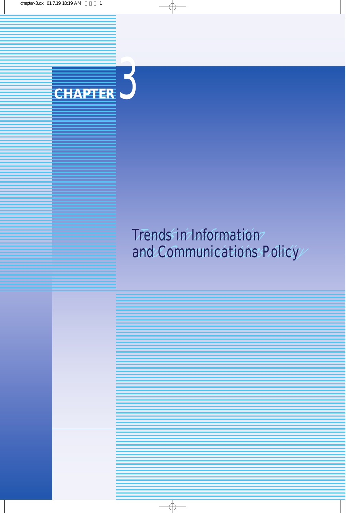

#### Trends in Information and Communications Policy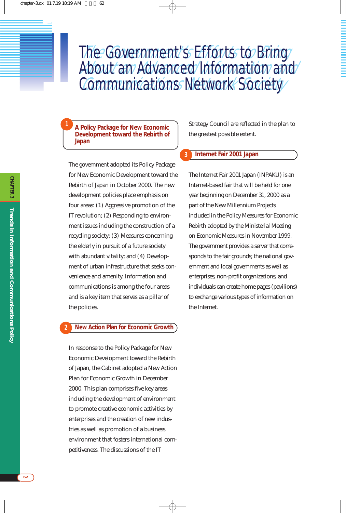## The Government's Efforts to Bring About an Advanced Information and Communications Network Society The Government's Efforts to Bring The Government's Efforts to Bring<br>About an Advanced Information and<br>Communications Network Society

**3**

**A Policy Package for New Economic Development toward the Rebirth of Japan**

**1**

The government adopted its Policy Package for New Economic Development toward the Rebirth of Japan in October 2000. The new development policies place emphasis on four areas: (1) Aggressive promotion of the IT revolution; (2) Responding to environment issues including the construction of a recycling society; (3) Measures concerning the elderly in pursuit of a future society with abundant vitality; and (4) Development of urban infrastructure that seeks convenience and amenity. Information and communications is among the four areas and is a key item that serves as a pillar of the policies.

#### **New Action Plan for Economic Growth 2**

In response to the Policy Package for New Economic Development toward the Rebirth of Japan, the Cabinet adopted a New Action Plan for Economic Growth in December 2000. This plan comprises five key areas including the development of environment to promote creative economic activities by enterprises and the creation of new industries as well as promotion of a business environment that fosters international competitiveness. The discussions of the IT

Strategy Council are reflected in the plan to the greatest possible extent.

#### **Internet Fair 2001 Japan**

The Internet Fair 2001 Japan (INPAKU) is an Internet-based fair that will be held for one year beginning on December 31, 2000 as a part of the New Millennium Projects included in the Policy Measures for Economic Rebirth adopted by the Ministerial Meeting on Economic Measures in November 1999. The government provides a server that corresponds to the fair grounds; the national government and local governments as well as enterprises, non-profit organizations, and individuals can create home pages (pavilions) to exchange various types of information on the Internet.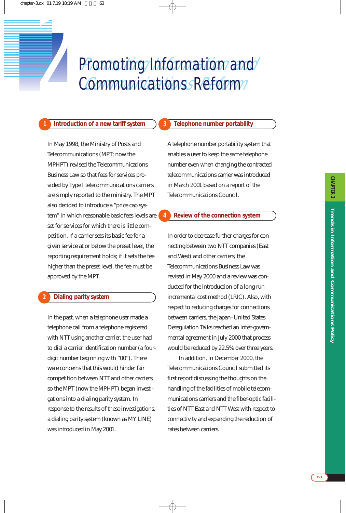# Promoting/Information/and/ Communications Reform Promoting Information and<br> *2 Communications Reform*

**3**

**4**

#### **1 Introduction of a new tariff system**

In May 1998, the Ministry of Posts and Telecommunications (MPT; now the MPHPT) revised the Telecommunications Business Law so that fees for services provided by Type I telecommunications carriers are simply reported to the ministry. The MPT also decided to introduce a "price cap system" in which reasonable basic fees levels are set for services for which there is little competition. If a carrier sets its basic fee for a given service at or below the preset level, the reporting requirement holds; if it sets the fee higher than the preset level, the fee must be approved by the MPT.

#### **Dialing parity system 2**

In the past, when a telephone user made a telephone call from a telephone registered with NTT using another carrier, the user had to dial a carrier identification number (a fourdigit number beginning with "00"). There were concerns that this would hinder fair competition between NTT and other carriers, so the MPT (now the MPHPT) began investigations into a dialing parity system. In response to the results of these investigations, a dialing parity system (known as MY LINE) was introduced in May 2001.

#### **Telephone number portability**

A telephone number portability system that enables a user to keep the same telephone number even when changing the contracted telecommunications carrier was introduced in March 2001 based on a report of the Telecommunications Council.

#### **Review of the connection system**

In order to decrease further charges for connecting between two NTT companies (East and West) and other carriers, the Telecommunications Business Law was revised in May 2000 and a review was conducted for the introduction of a long-run incremental cost method (LRIC). Also, with respect to reducing charges for connections between carriers, the Japan–United States Deregulation Talks reached an inter-governmental agreement in July 2000 that process would be reduced by 22.5% over three years.

In addition, in December 2000, the Telecommunications Council submitted its first report discussing the thoughts on the handling of the facilities of mobile telecommunications carriers and the fiber-optic facilities of NTT East and NTT West with respect to connectivity and expanding the reduction of rates between carriers.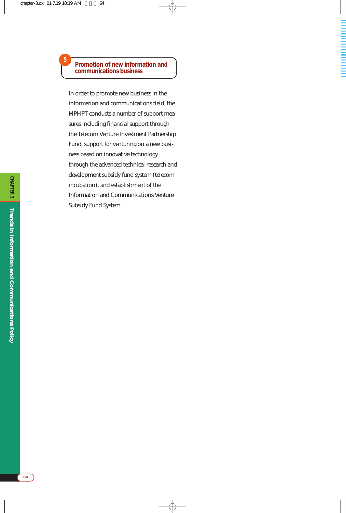#### **Promotion of new information and communications business**

**5**

In order to promote new business in the information and communications field, the MPHPT conducts a number of support measures including financial support through the Telecom Venture Investment Partnership Fund, support for venturing on a new business based on innovative technology through the advanced technical research and development subsidy fund system (telecom incubation), and establishment of the Information and Communications Venture Subsidy Fund System.

**64**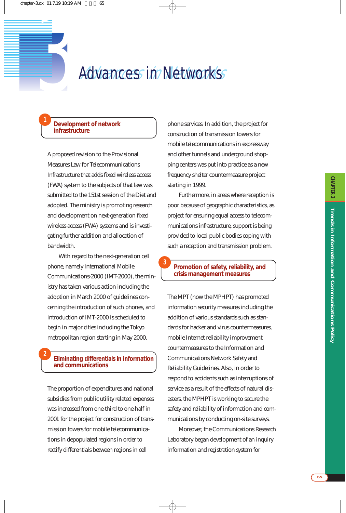# *3* Advances in Networks Advances in Networks

**3**

#### **Development of network infrastructure**

**1**

**2**

A proposed revision to the Provisional Measures Law for Telecommunications Infrastructure that adds fixed wireless access (FWA) system to the subjects of that law was submitted to the 151st session of the Diet and adopted. The ministry is promoting research and development on next-generation fixed wireless access (FWA) systems and is investigating further addition and allocation of bandwidth.

With regard to the next-generation cell phone, namely International Mobile Communications-2000 (IMT-2000), the ministry has taken various action including the adoption in March 2000 of guidelines concerning the introduction of such phones, and introduction of IMT-2000 is scheduled to begin in major cities including the Tokyo metropolitan region starting in May 2000.

#### **Eliminating differentials in information and communications**

The proportion of expenditures and national subsidies from public utility related expenses was increased from one-third to one-half in 2001 for the project for construction of transmission towers for mobile telecommunications in depopulated regions in order to rectify differentials between regions in cell

phone services. In addition, the project for construction of transmission towers for mobile telecommunications in expressway and other tunnels and underground shopping centers was put into practice as a new frequency shelter countermeasure project starting in 1999.

Furthermore, in areas where reception is poor because of geographic characteristics, as project for ensuring equal access to telecommunications infrastructure, support is being provided to local public bodies coping with such a reception and transmission problem.

#### **Promotion of safety, reliability, and crisis management measures**

The MPT (now the MPHPT) has promoted information security measures including the addition of various standards such as standards for hacker and virus countermeasures, mobile Internet reliability improvement countermeasures to the Information and Communications Network Safety and Reliability Guidelines. Also, in order to respond to accidents such as interruptions of service as a result of the effects of natural disasters, the MPHPT is working to secure the safety and reliability of information and communications by conducting on-site surveys.

Moreover, the Communications Research Laboratory began development of an inquiry information and registration system for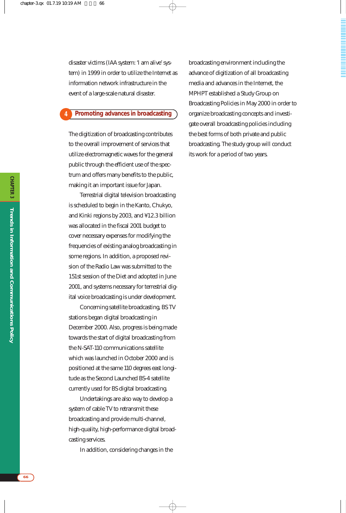disaster victims (IAA system: 'I am alive' system) in 1999 in order to utilize the Internet as information network infrastructure in the event of a large-scale natural disaster.

#### **Promoting advances in broadcasting 4**

The digitization of broadcasting contributes to the overall improvement of services that utilize electromagnetic waves for the general public through the efficient use of the spectrum and offers many benefits to the public, making it an important issue for Japan.

Terrestrial digital television broadcasting is scheduled to begin in the Kanto, Chukyo, and Kinki regions by 2003, and ¥12.3 billion was allocated in the fiscal 2001 budget to cover necessary expenses for modifying the frequencies of existing analog broadcasting in some regions. In addition, a proposed revision of the Radio Law was submitted to the 151st session of the Diet and adopted in June 2001, and systems necessary for terrestrial digital voice broadcasting is under development.

Concerning satellite broadcasting, BS TV stations began digital broadcasting in December 2000. Also, progress is being made towards the start of digital broadcasting from the N-SAT-110 communications satellite which was launched in October 2000 and is positioned at the same 110 degrees east longitude as the Second Launched BS-4 satellite currently used for BS digital broadcasting.

Undertakings are also way to develop a system of cable TV to retransmit these broadcasting and provide multi-channel, high-quality, high-performance digital broadcasting services.

In addition, considering changes in the

broadcasting environment including the advance of digitization of all broadcasting media and advances in the Internet, the MPHPT established a Study Group on Broadcasting Policies in May 2000 in order to organize broadcasting concepts and investigate overall broadcasting policies including the best forms of both private and public broadcasting. The study group will conduct its work for a period of two years.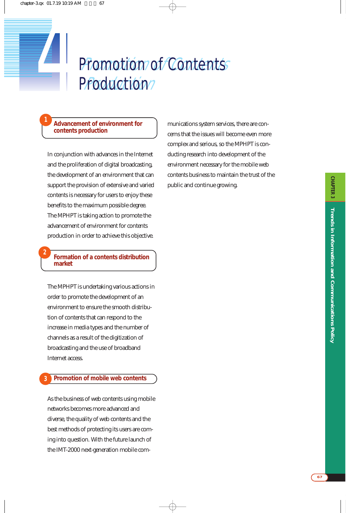# Promotion of Contents Production? Promotion of Contents *4* Production

#### **Advancement of environment for contents production**

**1**

**2**

In conjunction with advances in the Internet and the proliferation of digital broadcasting, the development of an environment that can support the provision of extensive and varied contents is necessary for users to enjoy these benefits to the maximum possible degree. The MPHPT is taking action to promote the advancement of environment for contents production in order to achieve this objective.

#### **Formation of a contents distribution market**

The MPHPT is undertaking various actions in order to promote the development of an environment to ensure the smooth distribution of contents that can respond to the increase in media types and the number of channels as a result of the digitization of broadcasting and the use of broadband Internet access.

#### **Promotion of mobile web contents 3**

As the business of web contents using mobile networks becomes more advanced and diverse, the quality of web contents and the best methods of protecting its users are coming into question. With the future launch of the IMT-2000 next-generation mobile communications system services, there are concerns that the issues will become even more complex and serious, so the MPHPT is conducting research into development of the environment necessary for the mobile web contents business to maintain the trust of the public and continue growing.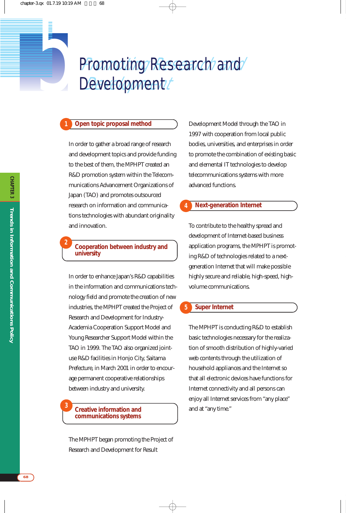# fomoting Research and Development/ **Promoting Research and Development**

#### **Open topic proposal method**

**1**

**2**

**3**

In order to gather a broad range of research and development topics and provide funding to the best of them, the MPHPT created an R&D promotion system within the Telecommunications Advancement Organizations of Japan (TAO) and promotes outsourced research on information and communications technologies with abundant originality and innovation.

#### **Cooperation between industry and university**

In order to enhance Japan's R&D capabilities in the information and communications technology field and promote the creation of new industries, the MPHPT created the Project of Research and Development for Industry-Academia Cooperation Support Model and Young Researcher Support Model within the TAO in 1999. The TAO also organized jointuse R&D facilities in Honjo City, Saitama Prefecture, in March 2001 in order to encourage permanent cooperative relationships between industry and university.

#### **Creative information and communications systems**

The MPHPT began promoting the Project of Research and Development for Result

Development Model through the TAO in 1997 with cooperation from local public bodies, universities, and enterprises in order to promote the combination of existing basic and elemental IT technologies to develop telecommunications systems with more advanced functions.

#### **Next-generation Internet**

**4**

To contribute to the healthy spread and development of Internet-based business application programs, the MPHPT is promoting R&D of technologies related to a nextgeneration Internet that will make possible highly secure and reliable, high-speed, highvolume communications.

#### **Super Internet 5**

The MPHPT is conducting R&D to establish basic technologies necessary for the realization of smooth distribution of highly-varied web contents through the utilization of household appliances and the Internet so that all electronic devices have functions for Internet connectivity and all persons can enjoy all Internet services from "any place" and at "any time."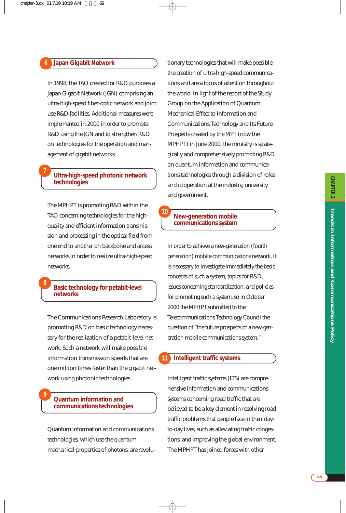#### **Japan Gigabit Network 6**

**7**

**8**

**9**

In 1998, the TAO created for R&D purposes a Japan Gigabit Network (JGN) comprising an ultra-high-speed fiber-optic network and joint use R&D facilities. Additional measures were implemented in 2000 in order to promote R&D using the JGN and to strengthen R&D on technologies for the operation and management of gigabit networks.

#### **Ultra-high-speed photonic network technologies**

The MPHPT is promoting R&D within the TAO concerning technologies for the highquality and efficient information transmission and processing in the optical field from one end to another on backbone and access networks in order to realize ultra-high-speed networks.

#### **Basic technology for petabit-level networks**

The Communications Research Laboratory is promoting R&D on basic technology necessary for the realization of a petabit-level network. Such a network will make possible information transmission speeds that are one million times faster than the gigabit network using photonic technologies.

#### **Quantum information and communications technologies**

Quantum information and communications technologies, which use the quantum mechanical properties of photons, are revolutionary technologies that will make possible the creation of ultra-high-speed communications and are a focus of attention throughout the world. In light of the report of the Study Group on the Application of Quantum Mechanical Effect to Information and Communications Technology and Its Future Prospects created by the MPT (now the MPHPT) in June 2000, the ministry is strategically and comprehensively promoting R&D on quantum information and communications technologies through a division of roles and cooperation at the industry, university and government.

#### **New-generation mobile communications system**

**10**

In order to achieve a new-generation (fourth generation) mobile communications network, it is necessary to investigate immediately the basic concepts of such a system, topics for R&D, issues concerning standardization, and policies for promoting such a system, so in October 2000 the MPHPT submitted to the Telecommunications Technology Council the question of "the future prospects of a new-generation mobile communications system."

#### **Intelligent traffic systems 11**

Intelligent traffic systems (ITS) are comprehensive information and communications systems concerning road traffic that are believed to be a key element in resolving road traffic problems that people face in their dayto-day lives, such as alleviating traffic congestions, and improving the global environment. The MPHPT has joined forces with other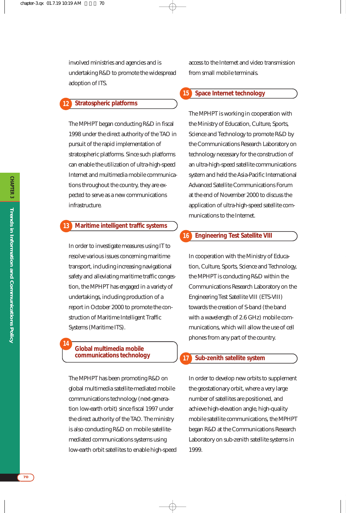involved ministries and agencies and is undertaking R&D to promote the widespread adoption of ITS.

#### **Stratospheric platforms 12**

The MPHPT began conducting R&D in fiscal 1998 under the direct authority of the TAO in pursuit of the rapid implementation of stratospheric platforms. Since such platforms can enable the utilization of ultra-high-speed Internet and multimedia mobile communications throughout the country, they are expected to serve as a new communications infrastructure.

#### **Maritime intelligent traffic systems 13**

In order to investigate measures using IT to resolve various issues concerning maritime transport, including increasing navigational safety and alleviating maritime traffic congestion, the MPHPT has engaged in a variety of undertakings, including production of a report in October 2000 to promote the construction of Maritime Intelligent Traffic Systems (Maritime ITS).

#### **Global multimedia mobile communications technology**

**14**

The MPHPT has been promoting R&D on global multimedia satellite-mediated mobile communications technology (next-generation low-earth orbit) since fiscal 1997 under the direct authority of the TAO. The ministry is also conducting R&D on mobile satellitemediated communications systems using low-earth orbit satellites to enable high-speed access to the Internet and video transmission from small mobile terminals.

#### **Space Internet technology 15**

The MPHPT is working in cooperation with the Ministry of Education, Culture, Sports, Science and Technology to promote R&D by the Communications Research Laboratory on technology necessary for the construction of an ultra-high-speed satellite communications system and held the Asia-Pacific International Advanced Satellite Communications Forum at the end of November 2000 to discuss the application of ultra-high-speed satellite communications to the Internet.

#### **Engineering Test Satellite VIII 16**

In cooperation with the Ministry of Education, Culture, Sports, Science and Technology, the MPHPT is conducting R&D within the Communications Research Laboratory on the Engineering Test Satellite VIII (ETS-VIII) towards the creation of S-band (the band with a wavelength of 2.6 GHz) mobile communications, which will allow the use of cell phones from any part of the country.

#### **Sub-zenith satellite system**

**17**

In order to develop new orbits to supplement the geostationary orbit, where a very large number of satellites are positioned, and achieve high-elevation angle, high-quality mobile satellite communications, the MPHPT began R&D at the Communications Research Laboratory on sub-zenith satellite systems in 1999.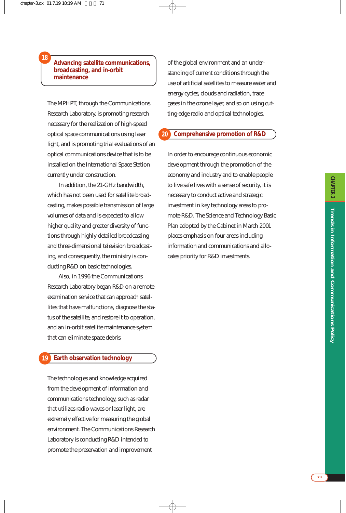#### **Advancing satellite communications, broadcasting, and in-orbit maintenance**

**18**

The MPHPT, through the Communications Research Laboratory, is promoting research necessary for the realization of high-speed optical space communications using laser light, and is promoting trial evaluations of an optical communications device that is to be installed on the International Space Station currently under construction.

In addition, the 21-GHz bandwidth, which has not been used for satellite broadcasting, makes possible transmission of large volumes of data and is expected to allow higher quality and greater diversity of functions through highly-detailed broadcasting and three-dimensional television broadcasting, and consequently, the ministry is conducting R&D on basic technologies.

Also, in 1996 the Communications Research Laboratory began R&D on a remote examination service that can approach satellites that have malfunctions, diagnose the status of the satellite, and restore it to operation, and an in-orbit satellite maintenance system that can eliminate space debris.

#### **Earth observation technology 19**

The technologies and knowledge acquired from the development of information and communications technology, such as radar that utilizes radio waves or laser light, are extremely effective for measuring the global environment. The Communications Research Laboratory is conducting R&D intended to promote the preservation and improvement

of the global environment and an understanding of current conditions through the use of artificial satellites to measure water and energy cycles, clouds and radiation, trace gases in the ozone layer, and so on using cutting-edge radio and optical technologies.

#### **Comprehensive promotion of R&D 20**

In order to encourage continuous economic development through the promotion of the economy and industry and to enable people to live safe lives with a sense of security, it is necessary to conduct active and strategic investment in key technology areas to promote R&D. The Science and Technology Basic Plan adopted by the Cabinet in March 2001 places emphasis on four areas including information and communications and allocates priority for R&D investments.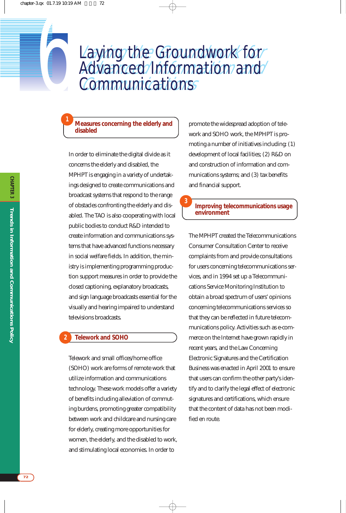## aying the Groundwork for Advanced Information and **Communications Laying the Groundwork for** aying the Groundwork for<br>
dvanced Information and<br>
Communications

**3**

#### **Measures concerning the elderly and disabled**

**1**

In order to eliminate the digital divide as it concerns the elderly and disabled, the MPHPT is engaging in a variety of undertakings designed to create communications and broadcast systems that respond to the range of obstacles confronting the elderly and disabled. The TAO is also cooperating with local public bodies to conduct R&D intended to create information and communications systems that have advanced functions necessary in social welfare fields. In addition, the ministry is implementing programming production support measures in order to provide the closed captioning, explanatory broadcasts, and sign language broadcasts essential for the visually and hearing impaired to understand televisions broadcasts.

#### **Telework and SOHO 2**

Telework and small offices/home office (SOHO) work are forms of remote work that utilize information and communications technology. These work models offer a variety of benefits including alleviation of commuting burdens, promoting greater compatibility between work and childcare and nursing care for elderly, creating more opportunities for women, the elderly, and the disabled to work, and stimulating local economies. In order to

promote the widespread adoption of telework and SOHO work, the MPHPT is promoting a number of initiatives including: (1) development of local facilities; (2) R&D on and construction of information and communications systems; and (3) tax benefits and financial support.

#### **Improving telecommunications usage environment**

The MPHPT created the Telecommunications Consumer Consultation Center to receive complaints from and provide consultations for users concerning telecommunications services, and in 1994 set up a Telecommunications Service Monitoring Institution to obtain a broad spectrum of users' opinions concerning telecommunications services so that they can be reflected in future telecommunications policy. Activities such as e-commerce on the Internet have grown rapidly in recent years, and the Law Concerning Electronic Signatures and the Certification Business was enacted in April 2001 to ensure that users can confirm the other party's identify and to clarify the legal effect of electronic signatures and certifications, which ensure that the content of data has not been modified en route.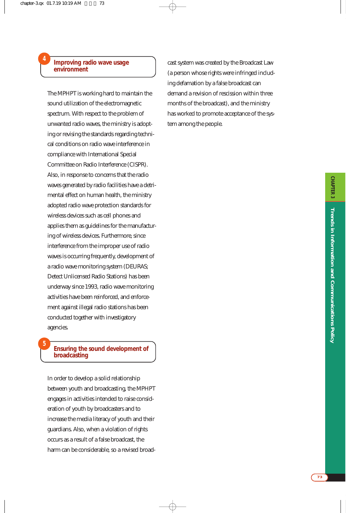#### **Improving radio wave usage environment**

**4**

**5**

The MPHPT is working hard to maintain the sound utilization of the electromagnetic spectrum. With respect to the problem of unwanted radio waves, the ministry is adopting or revising the standards regarding technical conditions on radio wave interference in compliance with International Special Committee on Radio Interference (CISPR). Also, in response to concerns that the radio waves generated by radio facilities have a detrimental effect on human health, the ministry adopted radio wave protection standards for wireless devices such as cell phones and applies them as guidelines for the manufacturing of wireless devices. Furthermore, since interference from the improper use of radio waves is occurring frequently, development of a radio wave monitoring system (DEURAS; Detect Unlicensed Radio Stations) has been underway since 1993, radio wave monitoring activities have been reinforced, and enforcement against illegal radio stations has been conducted together with investigatory agencies.

#### **Ensuring the sound development of broadcasting**

In order to develop a solid relationship between youth and broadcasting, the MPHPT engages in activities intended to raise consideration of youth by broadcasters and to increase the media literacy of youth and their guardians. Also, when a violation of rights occurs as a result of a false broadcast, the harm can be considerable, so a revised broadcast system was created by the Broadcast Law (a person whose rights were infringed including defamation by a false broadcast can demand a revision of rescission within three months of the broadcast), and the ministry has worked to promote acceptance of the system among the people.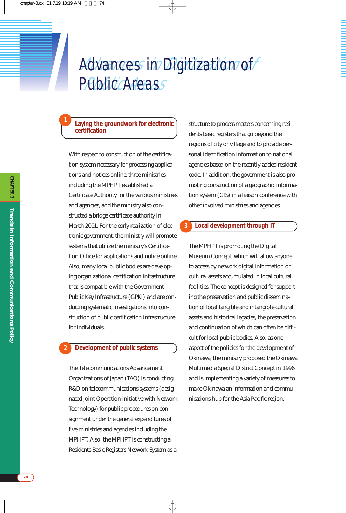# Advances in Digitization of **Public Areass** Advances in Digitization of

#### **Laying the groundwork for electronic certification**

**1**

With respect to construction of the certification system necessary for processing applications and notices online, three ministries including the MPHPT established a Certificate Authority for the various ministries and agencies, and the ministry also constructed a bridge certificate authority in March 2001. For the early realization of electronic government, the ministry will promote systems that utilize the ministry's Certification Office for applications and notice online. Also, many local public bodies are developing organizational certification infrastructure that is compatible with the Government Public Key Infrastructure (GPKI) and are conducting systematic investigations into construction of public certification infrastructure for individuals.

#### **Development of public systems 2**

The Telecommunications Advancement Organizations of Japan (TAO) is conducting R&D on telecommunications systems (designated Joint Operation Initiative with Network Technology) for public procedures on consignment under the general expenditures of five ministries and agencies including the MPHPT. Also, the MPHPT is constructing a Residents Basic Registers Network System as a

structure to process matters concerning residents basic registers that go beyond the regions of city or village and to provide personal identification information to national agencies based on the recently-added resident code. In addition, the government is also promoting construction of a geographic information system (GIS) in a liaison conference with other involved ministries and agencies.

#### **Local development through IT 3**

The MPHPT is promoting the Digital Museum Concept, which will allow anyone to access by network digital information on cultural assets accumulated in local cultural facilities. The concept is designed for supporting the preservation and public dissemination of local tangible and intangible cultural assets and historical legacies, the preservation and continuation of which can often be difficult for local public bodies. Also, as one aspect of the policies for the development of Okinawa, the ministry proposed the Okinawa Multimedia Special District Concept in 1996 and is implementing a variety of measures to make Okinawa an information and communications hub for the Asia Pacific region.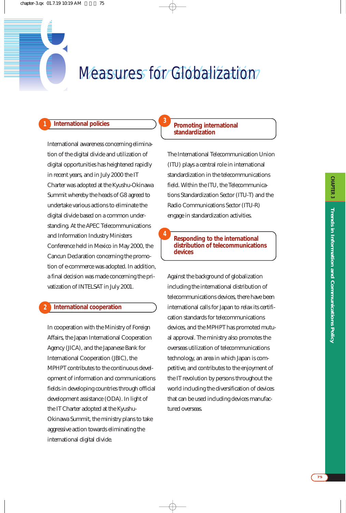# **Trends in Information and Communications Policy CHAPTER 3** CHAPTER 3 Trends in Information and Communications Policy

# **8 Measures for Globalization**

**3**

**4**

#### **1 International policies**

International awareness concerning elimination of the digital divide and utilization of digital opportunities has heightened rapidly in recent years, and in July 2000 the IT Charter was adopted at the Kyushu-Okinawa Summit whereby the heads of G8 agreed to undertake various actions to eliminate the digital divide based on a common understanding. At the APEC Telecommunications and Information Industry Ministers Conference held in Mexico in May 2000, the Cancun Declaration concerning the promotion of e-commerce was adopted. In addition, a final decision was made concerning the privatization of INTELSAT in July 2001.

#### **International cooperation**

**2**

In cooperation with the Ministry of Foreign Affairs, the Japan International Cooperation Agency (JICA), and the Japanese Bank for International Cooperation (JBIC), the MPHPT contributes to the continuous development of information and communications fields in developing countries through official development assistance (ODA). In light of the IT Charter adopted at the Kyushu-Okinawa Summit, the ministry plans to take aggressive action towards eliminating the international digital divide.

#### **Promoting international standardization**

The International Telecommunication Union (ITU) plays a central role in international standardization in the telecommunications field. Within the ITU, the Telecommunications Standardization Sector (ITU-T) and the Radio Communications Sector (ITU-R) engage in standardization activities.

**Responding to the international distribution of telecommunications devices**

Against the background of globalization including the international distribution of telecommunications devices, there have been international calls for Japan to relax its certification standards for telecommunications devices, and the MPHPT has promoted mutual approval. The ministry also promotes the overseas utilization of telecommunications technology, an area in which Japan is competitive, and contributes to the enjoyment of the IT revolution by persons throughout the world including the diversification of devices that can be used including devices manufactured overseas.